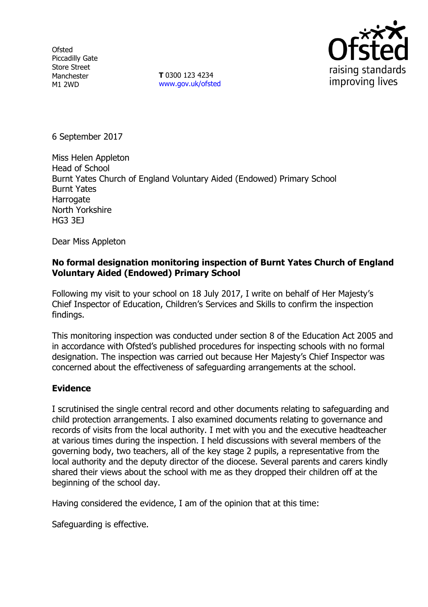**Ofsted** Piccadilly Gate Store Street Manchester M1 2WD

**T** 0300 123 4234 www.gov.uk/ofsted



6 September 2017

Miss Helen Appleton Head of School Burnt Yates Church of England Voluntary Aided (Endowed) Primary School Burnt Yates **Harrogate** North Yorkshire HG3 3EJ

Dear Miss Appleton

# **No formal designation monitoring inspection of Burnt Yates Church of England Voluntary Aided (Endowed) Primary School**

Following my visit to your school on 18 July 2017, I write on behalf of Her Majesty's Chief Inspector of Education, Children's Services and Skills to confirm the inspection findings.

This monitoring inspection was conducted under section 8 of the Education Act 2005 and in accordance with Ofsted's published procedures for inspecting schools with no formal designation. The inspection was carried out because Her Majesty's Chief Inspector was concerned about the effectiveness of safeguarding arrangements at the school.

# **Evidence**

I scrutinised the single central record and other documents relating to safeguarding and child protection arrangements. I also examined documents relating to governance and records of visits from the local authority. I met with you and the executive headteacher at various times during the inspection. I held discussions with several members of the governing body, two teachers, all of the key stage 2 pupils, a representative from the local authority and the deputy director of the diocese. Several parents and carers kindly shared their views about the school with me as they dropped their children off at the beginning of the school day.

Having considered the evidence, I am of the opinion that at this time:

Safeguarding is effective.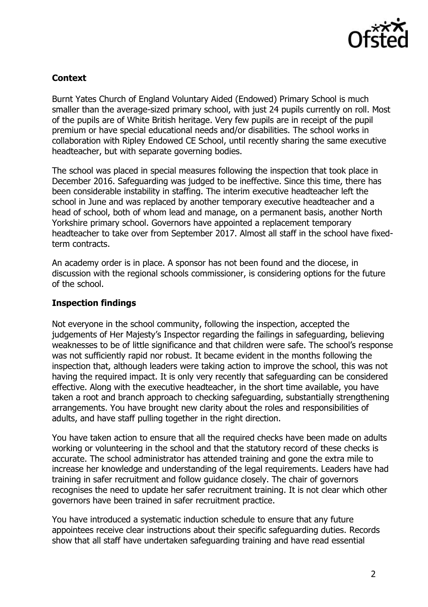

# **Context**

Burnt Yates Church of England Voluntary Aided (Endowed) Primary School is much smaller than the average-sized primary school, with just 24 pupils currently on roll. Most of the pupils are of White British heritage. Very few pupils are in receipt of the pupil premium or have special educational needs and/or disabilities. The school works in collaboration with Ripley Endowed CE School, until recently sharing the same executive headteacher, but with separate governing bodies.

The school was placed in special measures following the inspection that took place in December 2016. Safeguarding was judged to be ineffective. Since this time, there has been considerable instability in staffing. The interim executive headteacher left the school in June and was replaced by another temporary executive headteacher and a head of school, both of whom lead and manage, on a permanent basis, another North Yorkshire primary school. Governors have appointed a replacement temporary headteacher to take over from September 2017. Almost all staff in the school have fixedterm contracts.

An academy order is in place. A sponsor has not been found and the diocese, in discussion with the regional schools commissioner, is considering options for the future of the school.

### **Inspection findings**

Not everyone in the school community, following the inspection, accepted the judgements of Her Majesty's Inspector regarding the failings in safeguarding, believing weaknesses to be of little significance and that children were safe. The school's response was not sufficiently rapid nor robust. It became evident in the months following the inspection that, although leaders were taking action to improve the school, this was not having the required impact. It is only very recently that safeguarding can be considered effective. Along with the executive headteacher, in the short time available, you have taken a root and branch approach to checking safeguarding, substantially strengthening arrangements. You have brought new clarity about the roles and responsibilities of adults, and have staff pulling together in the right direction.

You have taken action to ensure that all the required checks have been made on adults working or volunteering in the school and that the statutory record of these checks is accurate. The school administrator has attended training and gone the extra mile to increase her knowledge and understanding of the legal requirements. Leaders have had training in safer recruitment and follow guidance closely. The chair of governors recognises the need to update her safer recruitment training. It is not clear which other governors have been trained in safer recruitment practice.

You have introduced a systematic induction schedule to ensure that any future appointees receive clear instructions about their specific safeguarding duties. Records show that all staff have undertaken safeguarding training and have read essential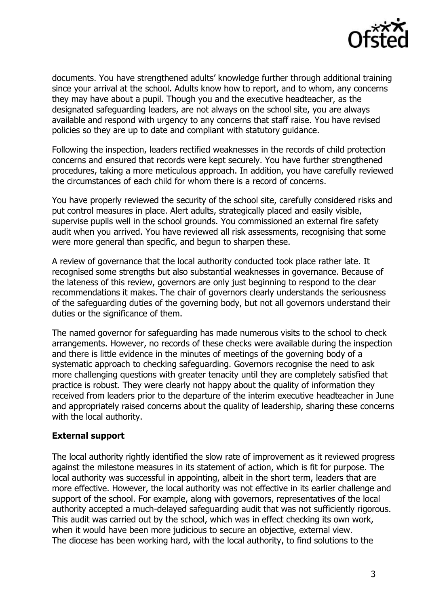

documents. You have strengthened adults' knowledge further through additional training since your arrival at the school. Adults know how to report, and to whom, any concerns they may have about a pupil. Though you and the executive headteacher, as the designated safeguarding leaders, are not always on the school site, you are always available and respond with urgency to any concerns that staff raise. You have revised policies so they are up to date and compliant with statutory guidance.

Following the inspection, leaders rectified weaknesses in the records of child protection concerns and ensured that records were kept securely. You have further strengthened procedures, taking a more meticulous approach. In addition, you have carefully reviewed the circumstances of each child for whom there is a record of concerns.

You have properly reviewed the security of the school site, carefully considered risks and put control measures in place. Alert adults, strategically placed and easily visible, supervise pupils well in the school grounds. You commissioned an external fire safety audit when you arrived. You have reviewed all risk assessments, recognising that some were more general than specific, and begun to sharpen these.

A review of governance that the local authority conducted took place rather late. It recognised some strengths but also substantial weaknesses in governance. Because of the lateness of this review, governors are only just beginning to respond to the clear recommendations it makes. The chair of governors clearly understands the seriousness of the safeguarding duties of the governing body, but not all governors understand their duties or the significance of them.

The named governor for safeguarding has made numerous visits to the school to check arrangements. However, no records of these checks were available during the inspection and there is little evidence in the minutes of meetings of the governing body of a systematic approach to checking safeguarding. Governors recognise the need to ask more challenging questions with greater tenacity until they are completely satisfied that practice is robust. They were clearly not happy about the quality of information they received from leaders prior to the departure of the interim executive headteacher in June and appropriately raised concerns about the quality of leadership, sharing these concerns with the local authority.

#### **External support**

The local authority rightly identified the slow rate of improvement as it reviewed progress against the milestone measures in its statement of action, which is fit for purpose. The local authority was successful in appointing, albeit in the short term, leaders that are more effective. However, the local authority was not effective in its earlier challenge and support of the school. For example, along with governors, representatives of the local authority accepted a much-delayed safeguarding audit that was not sufficiently rigorous. This audit was carried out by the school, which was in effect checking its own work, when it would have been more judicious to secure an objective, external view. The diocese has been working hard, with the local authority, to find solutions to the